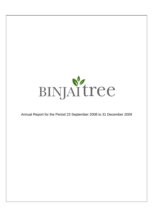

Annual Report for the Period 23 September 2008 to 31 December 2009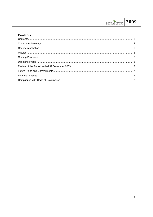# **Contents**

| $\text{Mission}.\textcolor{red}{\textbf{1000}}\textcolor{black}{\textbf{211}}\textcolor{black}{\textbf{321}}\textcolor{black}{\textbf{531}}\textcolor{black}{\textbf{541}}\textcolor{black}{\textbf{161}}\textcolor{black}{\textbf{172}}\textcolor{black}{\textbf{183}}\textcolor{black}{\textbf{194}}\textcolor{black}{\textbf{195}}\textcolor{black}{\textbf{196}}\textcolor{black}{\textbf{198}}\textcolor{black}{\textbf{199}}\textcolor{black}{\textbf{199}}\textcolor{black}{\textbf{199}}\textcolor$ |  |
|-------------------------------------------------------------------------------------------------------------------------------------------------------------------------------------------------------------------------------------------------------------------------------------------------------------------------------------------------------------------------------------------------------------------------------------------------------------------------------------------------------------|--|
|                                                                                                                                                                                                                                                                                                                                                                                                                                                                                                             |  |
|                                                                                                                                                                                                                                                                                                                                                                                                                                                                                                             |  |
|                                                                                                                                                                                                                                                                                                                                                                                                                                                                                                             |  |
|                                                                                                                                                                                                                                                                                                                                                                                                                                                                                                             |  |
|                                                                                                                                                                                                                                                                                                                                                                                                                                                                                                             |  |
|                                                                                                                                                                                                                                                                                                                                                                                                                                                                                                             |  |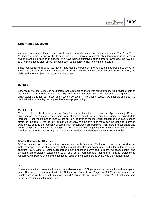### **Chairman's Message**

As this is our inaugural statement, I would like to share the inspiration behind our name. The Binjai Tree, *Mangifera Caesia,* is one of the largest trees in our tropical rainforest, abundantly producing a tangy sweet, mango-like fruit as it matures. We have named ourselves after a tree to symbolize the "*Tree of Life*" which since ancient times has been seen as a source of life, healing and provision.

Since our founding in 2008, we have made good progress by inviting like-minded people to serve on BinjaiTree's Board and have actively sought to fund worthy initiatives that we believe in. In 2009, we disbursed a total of \$540,000 to our various causes.

#### **Our Role**

Essentially, we see ourselves as granters and strategic partners with our grantees. We provide grants to individuals or organizations that are aligned with our mission, while we assist to strengthen these organizations through our ideas and network contacts. The priority causes we support and that are outlined below exemplify our approach of strategic partnering.

#### **Mental Health**

Mental Health is the key area where BinjaiTree has elected to be active in. Approximately 16% of Singaporeans have experienced some form of mental health issues, and the number is expected to increase. Poor mental health impacts not only on the lives of the individual concerned but also imposes strain on the family, the society and the economy. We believe that more can be done to increase awareness, enlarge the capacity of community rehabilitation programmes, train more professionals and better equip the community of caregivers. We are actively engaging the National Council of Social Services and the Singapore Anglican Community Services to collaborate on initiatives in the field.

#### **Shared Services for Charities**

SSC is a charity for charities that we co-sponsored with Singapore Exchange. It was conceived in the wake of scandals in the charity sector that led to calls for stronger governance and independent review of charities. SSC aims to foster collaboration among charities committed to improving accountability and achieving organizational excellence. With SSC as a facilitator and manager of shared professional resources, we believe this allows charities to focus on their core service delivery to their beneficiaries.

#### **Arts**

Contemporary Art is essential in the cultural development of Singapore as a community and as a global city. Thus we have partnered with the National Art Council and Singapore Art Museum to launch an initiative which will help boost Singaporean and Asian artists and promote Singapore's cultural leadership in the international contemporary art.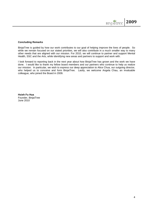### **Concluding Remarks**

BinjaiTree is guided by how our work contributes to our goal of helping improve the lives of people. So while we remain focused on our stated priorities, we will also contribute in a much smaller way to many other needs that are aligned with our mission. For 2010, we will continue to partner and support Mental Health, SSC and the Arts, while identifying new areas and partners to support and work with.

I look forward to reporting back in the next year about how BinjaiTree has grown and the work we have done. I would like to thank my fellow board members and our partners who continue to help us realize our mission. In particular, we wish to express our deep appreciation to Alice Chua, our outgoing director, who helped us to conceive and form BinjaiTree. Lastly, we welcome Angela Chau, an invaluable colleague, who joined the Board in 2009.

**Hsieh Fu Hua** Founder, BinjaiTree June 2010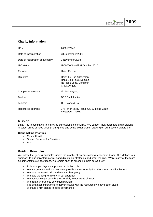# **Charity Information**

| <b>UEN</b>                        | 200818724G                                                                                  |
|-----------------------------------|---------------------------------------------------------------------------------------------|
| Date of incorporation             | 23 September 2008                                                                           |
| Date of registration as a charity | 1 November 2008                                                                             |
| <b>IPC</b> status                 | IPC000646 - till 31 October 2010                                                            |
| Founder                           | Hsieh Fu Hua                                                                                |
| <b>Directors</b>                  | Hsieh Fu Hua (Chairman)<br>Hong Chin Fock, Damian<br>Ng Heok Seng, Benjamin<br>Chau, Angela |
| Company secretary                 | Lin Moi Heyang                                                                              |
| <b>Banker</b>                     | <b>DBS Bank Limited</b>                                                                     |
| Auditors                          | C.C. Yang & Co.                                                                             |
| Registered address                | 177 River Valley Road #05-20 Liang Court<br>Singapore 179030                                |

# **Mission**

BinjaiTree is committed to improving our evolving community. We support individuals and organizations in select areas of need through our grants and active collaboration drawing on our network of partners.

#### **Grant-making Priorities**

- Mental Health
- Shared Services for Charities
- Arts

# **Guiding Principles**

We follow the guiding principles under the mantle of an outstanding leadership team. This defines our approach to our philanthropic work and directs our strategies and grant making. While many of them are fundamental to our operations, we remain open to amending them as we grow.

- Philanthropy plays an important but limited role
- We are granters and shapers we provide the opportunity for others to act and implement
- We take measured risks and move with urgency
- We take the long-term view in our approach
- We advocate vigorously but responsibly in our areas of focus
- We treat our grantees as valued partners
- It is of utmost importance to deliver results with the resources we have been given
- We take a firm stance in good governance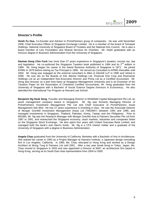# **Director's Profile**

**Hsieh Fu Hua**, Co-founder and Adviser to PrimePartners group of companies. He was until November 2009, Chief Executive Officer of Singapore Exchange Limited. He is a member of the board of Temasek Holdings, National University of Singapore Board of Trustees and the National Arts Council. He is also a board member of Lien Foundation and Shared Services for Charities. Mr. Hsieh graduated with an honours degree in Business Administration from the University of Singapore.

**Damian Hong Chin Fock** has more than 37 years experience in Singapore's taxation, income tax, law and legislation. He co-authored the Singapore Taxation book published in 1984 and its  $2^{nd}$  edition in 1989. Mr. Hong began his career in the Inland Revenue Authority of Singapore in 1971. He joined KPMG in 1979 before retiring as Tax Principal in 1996. He served as Consultant to KPMG thereafter until 2004. Mr. Hong was engaged as the external consultant to Allen & Glenhill LLP in 1995 and retired in 2008. He now sits on the Boards of ASL Marine Holdings Ltd, Financial One Corp and Riverstone Holdings Ltd as an Independent Non-Executive Director and Prima Ltd as a Certified Accountant. Mr. Hong also lectures on a part time basis at Singapore Management University and is an Examiner of the Taxation Paper for the Association of Chartered Certified Accountants. Mr. Hong graduated from the University of Singapore with a Bachelor of Social Science Degree (Honours in Economics). He also attended the International Tax Program at Harvard Law School.

**Benjamin Ng Heok Seng**, Founder and Managing Director to Whitefield Capital Management Pte Ltd, an asset management company based in Singapore. Mr. Ng was formerly Managing Director of PrimePartners Investment Management Pte Ltd and Chief Executive of PrimePartners Asset Management Sdn Bhd. He has 27 years experience in investing in Asia. He was the Associate Director of Morgan Grenfell Investment Management (Asia) Ltd ("MGIMA") between 1991 and 1995, and managed investments in Singapore, Thailand, Pakistan, Korea, Taiwan and the Philippines. Prior to MGIMA, Mr. Ng was the Research Manager with Morgan Grenfell Asia & Partners Securities Pte Ltd from 1987 to 1991, and researched the Singapore economy, stock markets, industries and companies listed on the Singapore Stock Exchange. He also spent four years with United Overseas Bank Limited, and managed both the bank's and client's funds. Mr. Ng is a CFA charter holder and a graduate of the University of Singapore with a degree in Business Administration.

**Angela Chau** graduated from the University of California, Berkeley with a Bachelor of Arts in Architecture. She started her career in 1992 as a Project Manager at Hamano Institute, a Japanese design consulting firm in Los Angeles, California. In 1995, Ms. Chau relocated to Hong Kong and worked as a Design Architect at Wong Tung & Partners Ltd until 2001. After a two year break living in Tokyo, Japan, Ms. Chau moved to Singapore in 2003 and was appointed a Director at MAP, an architecture firm based in Hong Kong, serving as its South East Asia representative from 2004 to 2005.